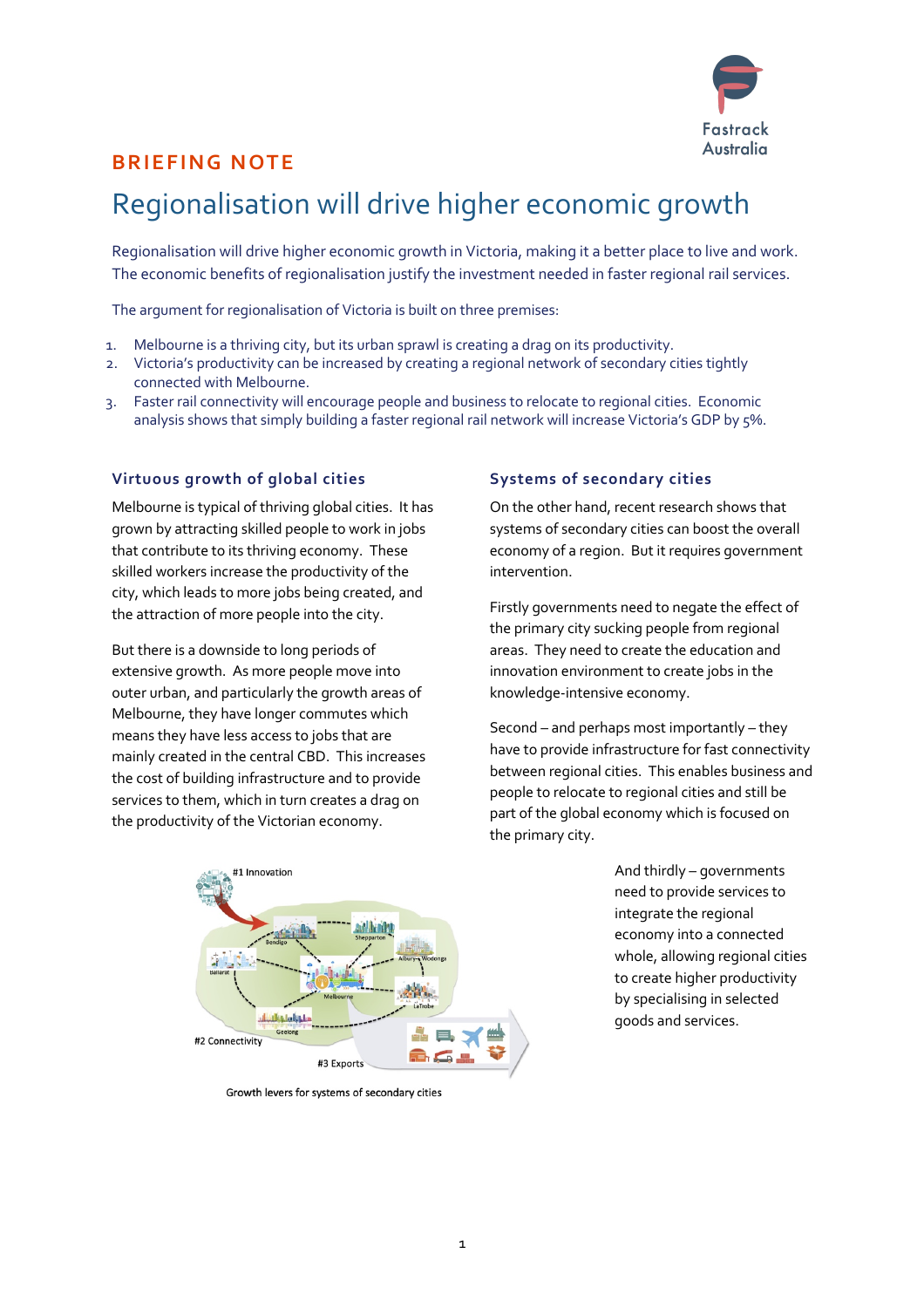

## **BRIEFING NOTE**

## Regionalisation will drive higher economic growth

Regionalisation will drive higher economic growth in Victoria, making it a better place to live and work. The economic benefits of regionalisation justify the investment needed in faster regional rail services.

The argument for regionalisation of Victoria is built on three premises:

- 1. Melbourne is a thriving city, but its urban sprawl is creating a drag on its productivity.
- 2. Victoria's productivity can be increased by creating a regional network of secondary cities tightly connected with Melbourne.
- 3. Faster rail connectivity will encourage people and business to relocate to regional cities. Economic analysis shows that simply building a faster regional rail network will increase Victoria's GDP by 5%.

#### **Virtuous growth of global cities**

Melbourne is typical of thriving global cities. It has grown by attracting skilled people to work in jobs that contribute to its thriving economy. These skilled workers increase the productivity of the city, which leads to more jobs being created, and the attraction of more people into the city.

But there is a downside to long periods of extensive growth. As more people move into outer urban, and particularly the growth areas of Melbourne, they have longer commutes which means they have less access to jobs that are mainly created in the central CBD. This increases the cost of building infrastructure and to provide services to them, which in turn creates a drag on the productivity of the Victorian economy.

#### **Systems of secondary cities**

On the other hand, recent research shows that systems of secondary cities can boost the overall economy of a region. But it requires government intervention.

Firstly governments need to negate the effect of the primary city sucking people from regional areas. They need to create the education and innovation environment to create jobs in the knowledge-intensive economy.

Second – and perhaps most importantly – they have to provide infrastructure for fast connectivity between regional cities. This enables business and people to relocate to regional cities and still be part of the global economy which is focused on the primary city.



Growth levers for systems of secondary cities

And thirdly – governments need to provide services to integrate the regional economy into a connected whole, allowing regional cities to create higher productivity by specialising in selected goods and services.